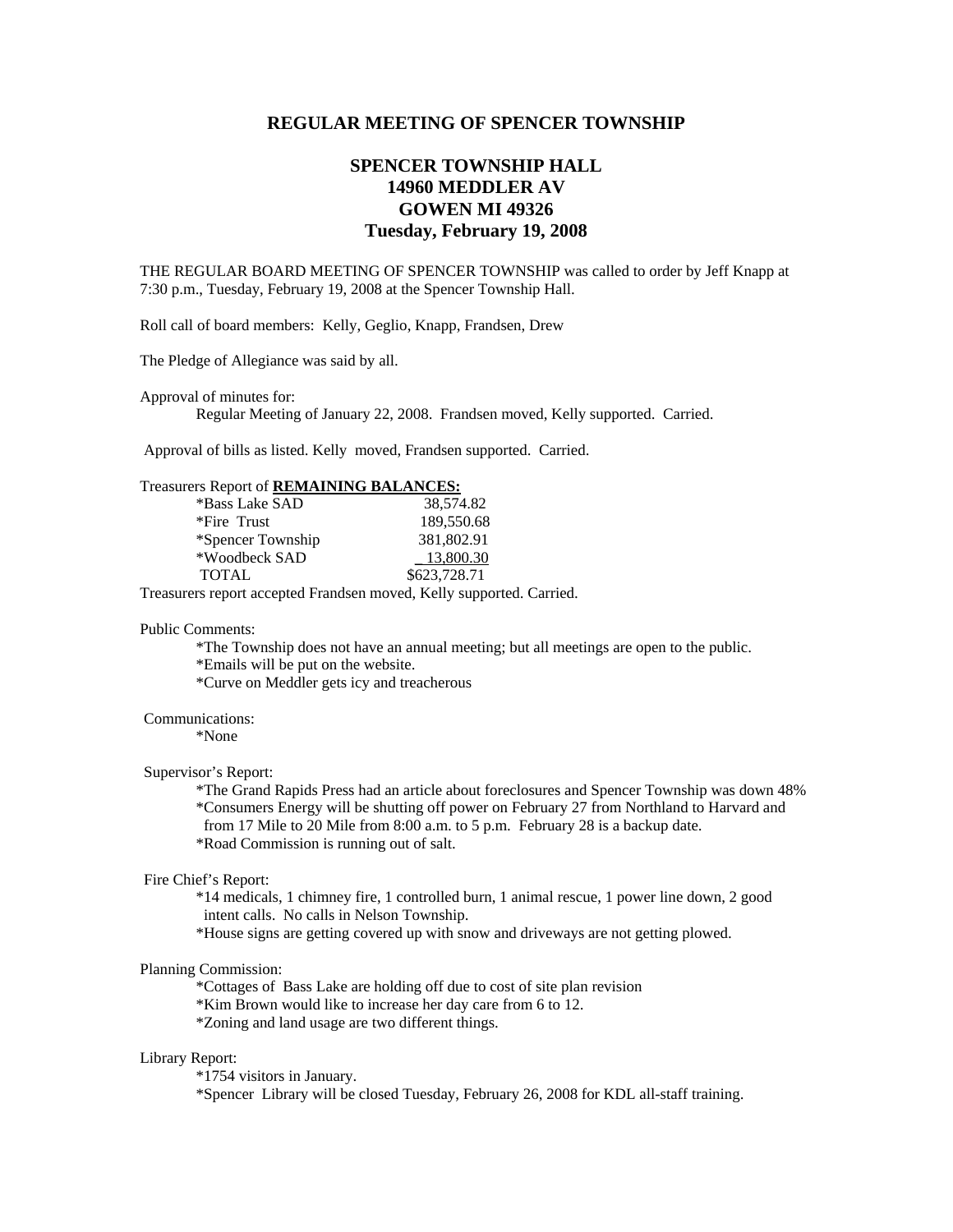# **REGULAR MEETING OF SPENCER TOWNSHIP**

# **SPENCER TOWNSHIP HALL 14960 MEDDLER AV GOWEN MI 49326 Tuesday, February 19, 2008**

THE REGULAR BOARD MEETING OF SPENCER TOWNSHIP was called to order by Jeff Knapp at 7:30 p.m., Tuesday, February 19, 2008 at the Spencer Township Hall.

Roll call of board members: Kelly, Geglio, Knapp, Frandsen, Drew

The Pledge of Allegiance was said by all.

Approval of minutes for:

Regular Meeting of January 22, 2008. Frandsen moved, Kelly supported. Carried.

Approval of bills as listed. Kelly moved, Frandsen supported. Carried.

## Treasurers Report of **REMAINING BALANCES:**

| *Bass Lake SAD    | 38,574.82    |
|-------------------|--------------|
| *Fire Trust       | 189,550.68   |
| *Spencer Township | 381,802.91   |
| *Woodbeck SAD     | 13,800.30    |
| <b>TOTAL</b>      | \$623,728.71 |

Treasurers report accepted Frandsen moved, Kelly supported. Carried.

#### Public Comments:

 \*The Township does not have an annual meeting; but all meetings are open to the public. \*Emails will be put on the website.

\*Curve on Meddler gets icy and treacherous

Communications:

\*None

### Supervisor's Report:

 \*The Grand Rapids Press had an article about foreclosures and Spencer Township was down 48% \*Consumers Energy will be shutting off power on February 27 from Northland to Harvard and from 17 Mile to 20 Mile from 8:00 a.m. to 5 p.m. February 28 is a backup date. \*Road Commission is running out of salt.

#### Fire Chief's Report:

 \*14 medicals, 1 chimney fire, 1 controlled burn, 1 animal rescue, 1 power line down, 2 good intent calls. No calls in Nelson Township.

\*House signs are getting covered up with snow and driveways are not getting plowed.

## Planning Commission:

\*Cottages of Bass Lake are holding off due to cost of site plan revision

\*Kim Brown would like to increase her day care from 6 to 12.

\*Zoning and land usage are two different things.

#### Library Report:

\*1754 visitors in January.

\*Spencer Library will be closed Tuesday, February 26, 2008 for KDL all-staff training.